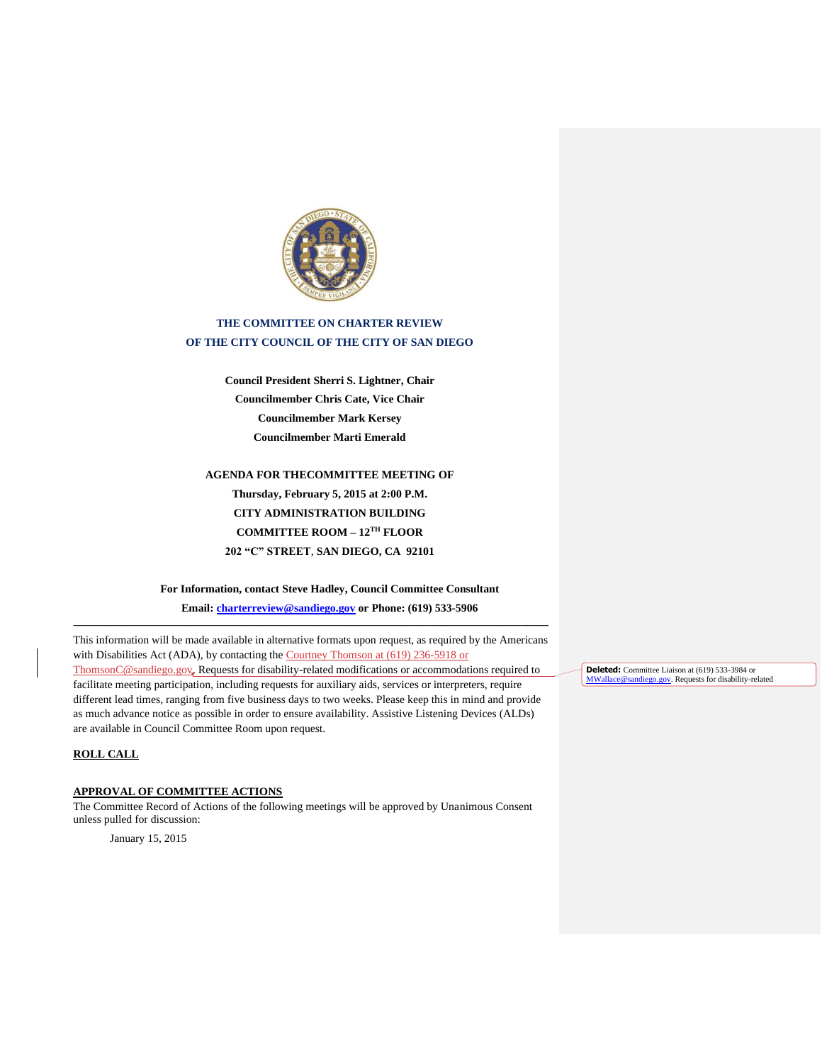

# **THE COMMITTEE ON CHARTER REVIEW OF THE CITY COUNCIL OF THE CITY OF SAN DIEGO**

**Council President Sherri S. Lightner, Chair Councilmember Chris Cate, Vice Chair Councilmember Mark Kersey Councilmember Marti Emerald**

**AGENDA FOR THECOMMITTEE MEETING OF Thursday, February 5, 2015 at 2:00 P.M. CITY ADMINISTRATION BUILDING COMMITTEE ROOM – 12TH FLOOR 202 "C" STREET**, **SAN DIEGO, CA 92101**

**For Information, contact Steve Hadley, Council Committee Consultant**

**Email: [charterreview@sandiego.gov](mailto:charterreview@sandiego.gov) or Phone: (619) 533-5906**

This information will be made available in alternative formats upon request, as required by the Americans with Disabilities Act (ADA), by contacting the Courtney Thomson at (619) 236-5918 or [ThomsonC@sandiego.gov.](mailto:ThomsonC@sandiego.gov) Requests for disability-related modifications or accommodations required to facilitate meeting participation, including requests for auxiliary aids, services or interpreters, require different lead times, ranging from five business days to two weeks. Please keep this in mind and provide as much advance notice as possible in order to ensure availability. Assistive Listening Devices (ALDs) are available in Council Committee Room upon request.

**\_\_\_\_\_\_\_\_\_\_\_\_\_\_\_\_\_\_\_\_\_\_\_\_\_\_\_\_\_\_\_\_\_\_\_\_\_\_\_\_\_\_\_\_\_\_\_\_\_\_\_\_\_\_\_\_\_\_\_\_\_\_\_\_\_\_\_\_\_\_\_\_\_\_\_\_\_\_\_\_\_\_\_\_\_**

## **ROLL CALL**

## **APPROVAL OF COMMITTEE ACTIONS**

The Committee Record of Actions of the following meetings will be approved by Unanimous Consent unless pulled for discussion:

January 15, 2015

**Deleted:** Committee Liaison at (619) 533-3984 or MWallace@sandiego.gov. Requests for disability-related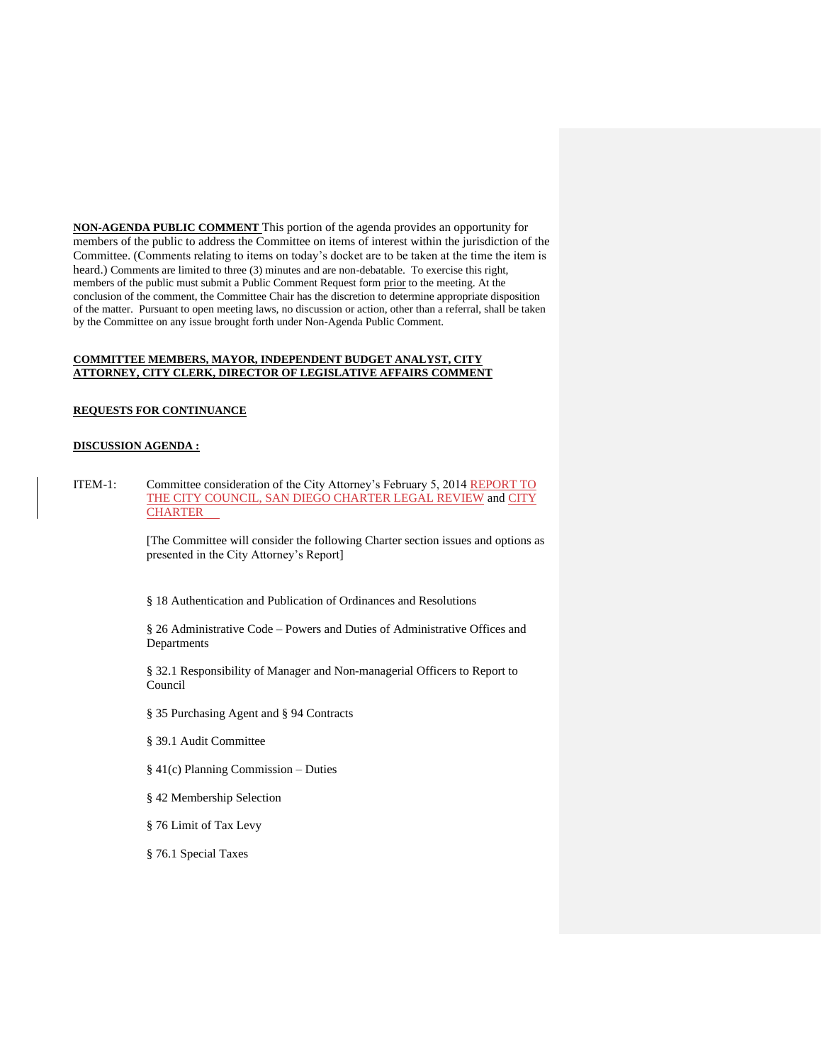**NON-AGENDA PUBLIC COMMENT** This portion of the agenda provides an opportunity for members of the public to address the Committee on items of interest within the jurisdiction of the Committee. (Comments relating to items on today's docket are to be taken at the time the item is heard.) Comments are limited to three (3) minutes and are non-debatable. To exercise this right, members of the public must submit a Public Comment Request form prior to the meeting. At the conclusion of the comment, the Committee Chair has the discretion to determine appropriate disposition of the matter. Pursuant to open meeting laws, no discussion or action, other than a referral, shall be taken by the Committee on any issue brought forth under Non-Agenda Public Comment.

## **COMMITTEE MEMBERS, MAYOR, INDEPENDENT BUDGET ANALYST, CITY ATTORNEY, CITY CLERK, DIRECTOR OF LEGISLATIVE AFFAIRS COMMENT**

## **REQUESTS FOR CONTINUANCE**

## **DISCUSSION AGENDA :**

ITEM-1: Committee consideration of the City Attorney's February 5, 2014 REPORT TO [THE CITY COUNCIL, SAN DIEGO CHARTER LEGAL REVIEW](http://docs.sandiego.gov/councilcomm_agendas_attach/2015/cr_150205_1.pdf) and CITY **[CHARTER](http://www.sandiego.gov/city-clerk/officialdocs/legisdocs/charter.shtml)** 

> [The Committee will consider the following Charter section issues and options as presented in the City Attorney's Report]

§ 18 Authentication and Publication of Ordinances and Resolutions

§ 26 Administrative Code – Powers and Duties of Administrative Offices and Departments

§ 32.1 Responsibility of Manager and Non-managerial Officers to Report to Council

§ 35 Purchasing Agent and § 94 Contracts

§ 39.1 Audit Committee

- § 41(c) Planning Commission Duties
- § 42 Membership Selection
- § 76 Limit of Tax Levy

§ 76.1 Special Taxes